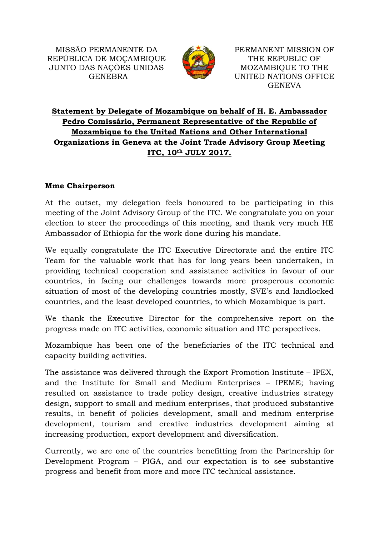

PERMANENT MISSION OF THE REPUBLIC OF MOZAMBIQUE TO THE UNITED NATIONS OFFICE GENEVA

## **Statement by Delegate of Mozambique on behalf of H. E. Ambassador Pedro Comissário, Permanent Representative of the Republic of Mozambique to the United Nations and Other International Organizations in Geneva at the Joint Trade Advisory Group Meeting ITC, 10th JULY 2017.**

## **Mme Chairperson**

At the outset, my delegation feels honoured to be participating in this meeting of the Joint Advisory Group of the ITC. We congratulate you on your election to steer the proceedings of this meeting, and thank very much HE Ambassador of Ethiopia for the work done during his mandate.

We equally congratulate the ITC Executive Directorate and the entire ITC Team for the valuable work that has for long years been undertaken, in providing technical cooperation and assistance activities in favour of our countries, in facing our challenges towards more prosperous economic situation of most of the developing countries mostly, SVE's and landlocked countries, and the least developed countries, to which Mozambique is part.

We thank the Executive Director for the comprehensive report on the progress made on ITC activities, economic situation and ITC perspectives.

Mozambique has been one of the beneficiaries of the ITC technical and capacity building activities.

The assistance was delivered through the Export Promotion Institute – IPEX, and the Institute for Small and Medium Enterprises – IPEME; having resulted on assistance to trade policy design, creative industries strategy design, support to small and medium enterprises, that produced substantive results, in benefit of policies development, small and medium enterprise development, tourism and creative industries development aiming at increasing production, export development and diversification.

Currently, we are one of the countries benefitting from the Partnership for Development Program – PIGA, and our expectation is to see substantive progress and benefit from more and more ITC technical assistance.